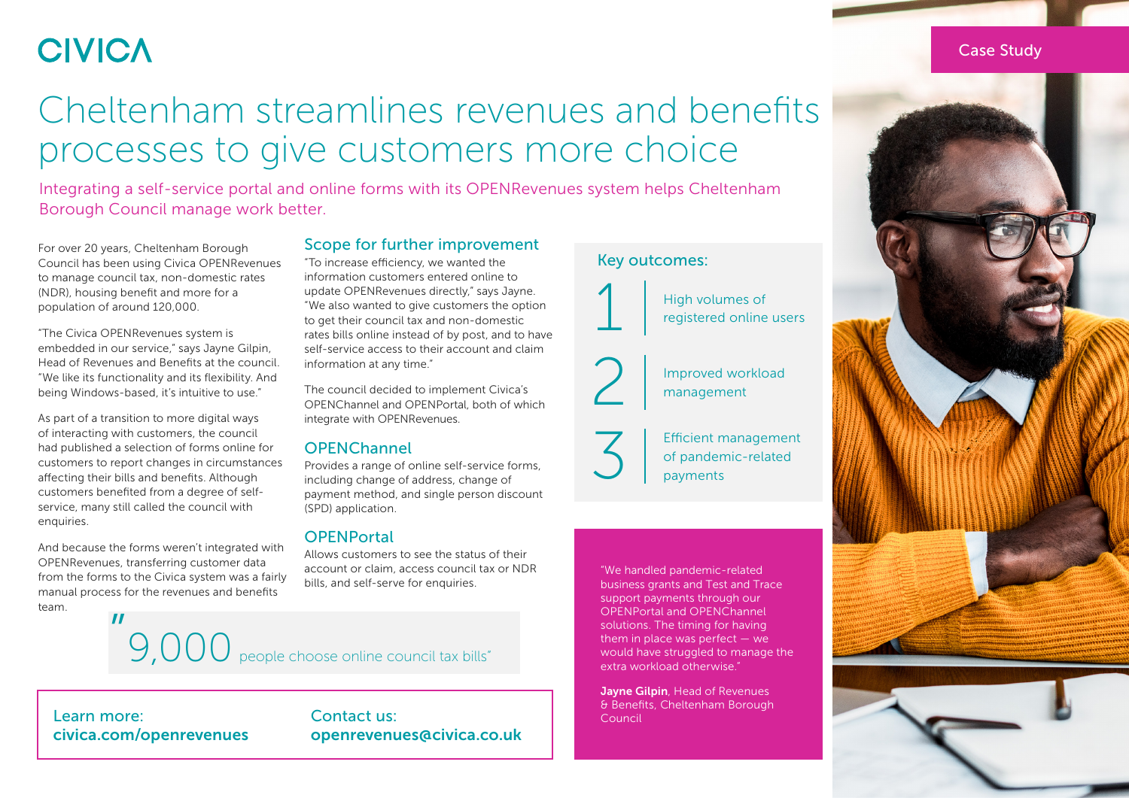### **CIVICA**

## Cheltenham streamlines revenues and benefits processes to give customers more choice

Integrating a self-service portal and online forms with its OPENRevenues system helps Cheltenham Borough Council manage work better.

For over 20 years, Cheltenham Borough Council has been using Civica OPENRevenues to manage council tax, non-domestic rates (NDR), housing benefit and more for a population of around 120,000.

"The Civica OPENRevenues system is embedded in our service," says Jayne Gilpin, Head of Revenues and Benefits at the council. "We like its functionality and its flexibility. And being Windows-based, it's intuitive to use."

As part of a transition to more digital ways of interacting with customers, the council had published a selection of forms online for customers to report changes in circumstances affecting their bills and benefits. Although customers benefited from a degree of selfservice, many still called the council with enquiries.

And because the forms weren't integrated with OPENRevenues, transferring customer data from the forms to the Civica system was a fairly manual process for the revenues and benefits team.

#### Scope for further improvement

"To increase efficiency, we wanted the information customers entered online to update OPENRevenues directly," says Jayne. "We also wanted to give customers the option to get their council tax and non-domestic rates bills online instead of by post, and to have self-service access to their account and claim information at any time."

The council decided to implement Civica's OPENChannel and OPENPortal, both of which integrate with OPENRevenues.

#### **OPFNChannel**

Provides a range of online self-service forms, including change of address, change of payment method, and single person discount (SPD) application.

#### **OPFNPortal**

Allows customers to see the status of their account or claim, access council tax or NDR bills, and self-serve for enquiries.

# " 9,000 people choose online council tax bills"

Learn more: [civica.com/openrevenues](https://www.civica.com/en-gb/product-pages/openrevenues/)

#### Contact us: [openrevenues@civica.co.uk](mailto:localgovernment@civica.co.uk?subject=Cheltenham BC case study - transformation enquiry)

#### Key outcomes:



High volumes of registered online users

Improved workload management

3 Efficient management<br>of pandemic-related<br>payments of pandemic-related payments

"We handled pandemic-related business grants and Test and Trace support payments through our OPENPortal and OPENChannel solutions. The timing for having them in place was perfect — we would have struggled to manage the extra workload otherwise."

**Jayne Gilpin**, Head of Revenues & Benefits, Cheltenham Borough Council